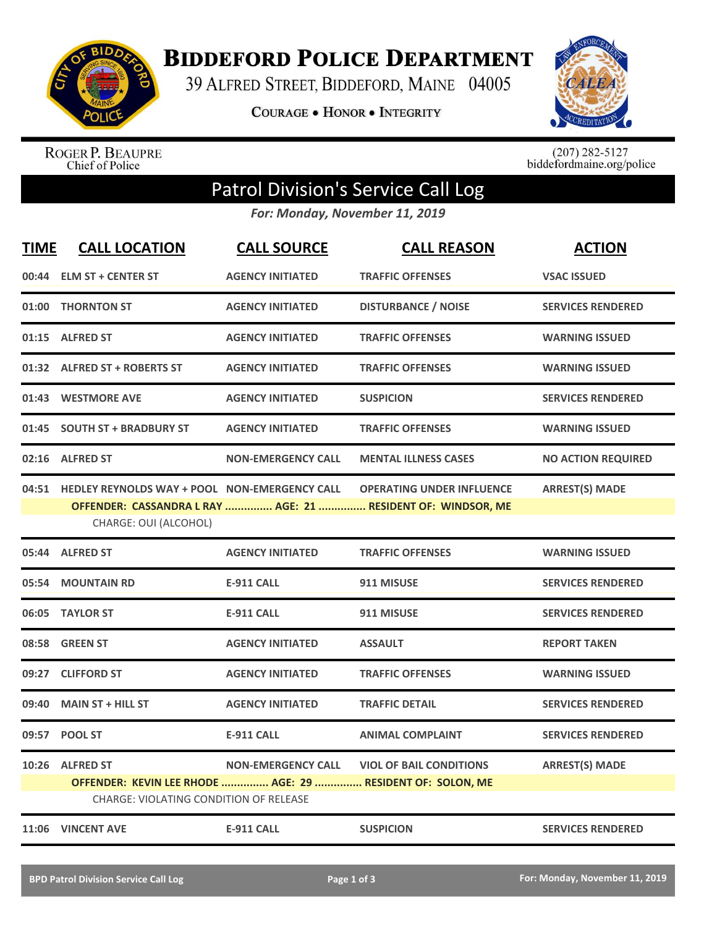

**BIDDEFORD POLICE DEPARTMENT** 

39 ALFRED STREET, BIDDEFORD, MAINE 04005

**COURAGE . HONOR . INTEGRITY** 



ROGER P. BEAUPRE<br>Chief of Police

 $(207)$  282-5127<br>biddefordmaine.org/police

## Patrol Division's Service Call Log

*For: Monday, November 11, 2019*

| <b>TIME</b> | <b>CALL LOCATION</b>                                                                                                           | <b>CALL SOURCE</b>        | <b>CALL REASON</b>                                                                               | <b>ACTION</b>             |
|-------------|--------------------------------------------------------------------------------------------------------------------------------|---------------------------|--------------------------------------------------------------------------------------------------|---------------------------|
| 00:44       | <b>ELM ST + CENTER ST</b>                                                                                                      | <b>AGENCY INITIATED</b>   | <b>TRAFFIC OFFENSES</b>                                                                          | <b>VSAC ISSUED</b>        |
|             | 01:00 THORNTON ST                                                                                                              | <b>AGENCY INITIATED</b>   | <b>DISTURBANCE / NOISE</b>                                                                       | <b>SERVICES RENDERED</b>  |
| 01:15       | <b>ALFRED ST</b>                                                                                                               | <b>AGENCY INITIATED</b>   | <b>TRAFFIC OFFENSES</b>                                                                          | <b>WARNING ISSUED</b>     |
|             | 01:32 ALFRED ST + ROBERTS ST                                                                                                   | <b>AGENCY INITIATED</b>   | <b>TRAFFIC OFFENSES</b>                                                                          | <b>WARNING ISSUED</b>     |
|             | 01:43 WESTMORE AVE                                                                                                             | <b>AGENCY INITIATED</b>   | <b>SUSPICION</b>                                                                                 | <b>SERVICES RENDERED</b>  |
|             | 01:45 SOUTH ST + BRADBURY ST                                                                                                   | <b>AGENCY INITIATED</b>   | <b>TRAFFIC OFFENSES</b>                                                                          | <b>WARNING ISSUED</b>     |
|             | 02:16 ALFRED ST                                                                                                                | <b>NON-EMERGENCY CALL</b> | <b>MENTAL ILLNESS CASES</b>                                                                      | <b>NO ACTION REQUIRED</b> |
|             | 04:51 HEDLEY REYNOLDS WAY + POOL NON-EMERGENCY CALL<br>CHARGE: OUI (ALCOHOL)                                                   |                           | <b>OPERATING UNDER INFLUENCE</b><br>OFFENDER: CASSANDRA L RAY  AGE: 21  RESIDENT OF: WINDSOR, ME | <b>ARREST(S) MADE</b>     |
|             | 05:44 ALFRED ST                                                                                                                | <b>AGENCY INITIATED</b>   | <b>TRAFFIC OFFENSES</b>                                                                          | <b>WARNING ISSUED</b>     |
| 05:54       | <b>MOUNTAIN RD</b>                                                                                                             | <b>E-911 CALL</b>         | 911 MISUSE                                                                                       | <b>SERVICES RENDERED</b>  |
|             | 06:05 TAYLOR ST                                                                                                                | <b>E-911 CALL</b>         | 911 MISUSE                                                                                       | <b>SERVICES RENDERED</b>  |
| 08:58       | <b>GREEN ST</b>                                                                                                                | <b>AGENCY INITIATED</b>   | <b>ASSAULT</b>                                                                                   | <b>REPORT TAKEN</b>       |
| 09:27       | <b>CLIFFORD ST</b>                                                                                                             | <b>AGENCY INITIATED</b>   | <b>TRAFFIC OFFENSES</b>                                                                          | <b>WARNING ISSUED</b>     |
| 09:40       | <b>MAIN ST + HILL ST</b>                                                                                                       | <b>AGENCY INITIATED</b>   | <b>TRAFFIC DETAIL</b>                                                                            | <b>SERVICES RENDERED</b>  |
| 09:57       | <b>POOL ST</b>                                                                                                                 | <b>E-911 CALL</b>         | <b>ANIMAL COMPLAINT</b>                                                                          | <b>SERVICES RENDERED</b>  |
|             | 10:26 ALFRED ST<br>OFFENDER: KEVIN LEE RHODE  AGE: 29  RESIDENT OF: SOLON, ME<br><b>CHARGE: VIOLATING CONDITION OF RELEASE</b> | <b>NON-EMERGENCY CALL</b> | <b>VIOL OF BAIL CONDITIONS</b>                                                                   | <b>ARREST(S) MADE</b>     |
|             | 11:06 VINCENT AVE                                                                                                              | <b>E-911 CALL</b>         | <b>SUSPICION</b>                                                                                 | <b>SERVICES RENDERED</b>  |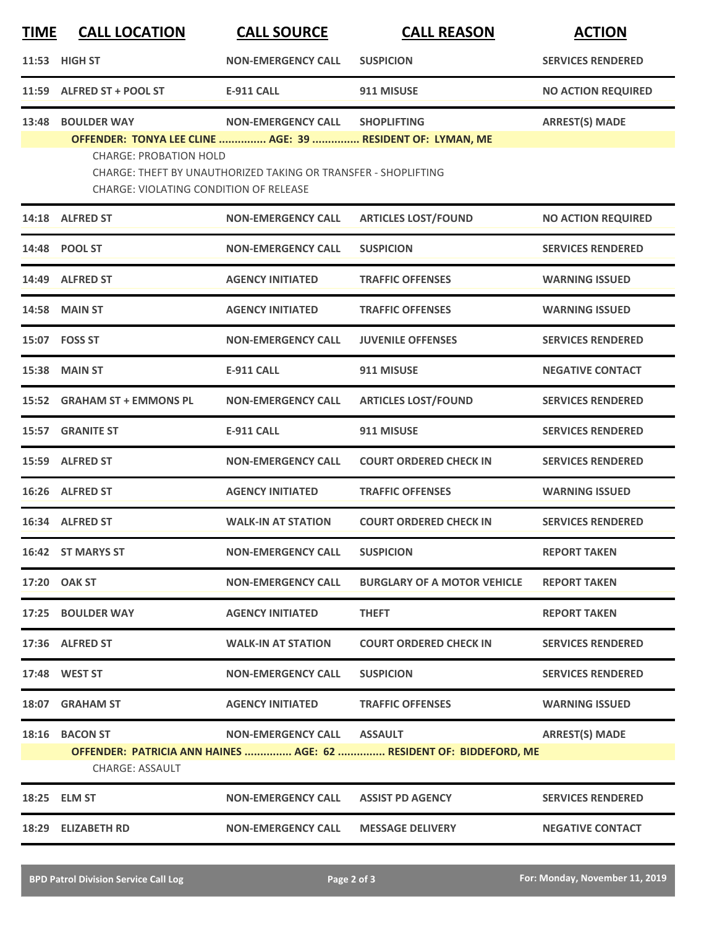| <u>TIME</u> | <b>CALL LOCATION</b>                                | <b>CALL SOURCE</b>                                             | <b>CALL REASON</b>                                                               | <b>ACTION</b>             |
|-------------|-----------------------------------------------------|----------------------------------------------------------------|----------------------------------------------------------------------------------|---------------------------|
|             | 11:53 HIGH ST                                       | <b>NON-EMERGENCY CALL</b>                                      | <b>SUSPICION</b>                                                                 | <b>SERVICES RENDERED</b>  |
|             | 11:59 ALFRED ST + POOL ST                           | <b>E-911 CALL</b>                                              | 911 MISUSE                                                                       | <b>NO ACTION REQUIRED</b> |
| 13:48       | <b>BOULDER WAY</b><br><b>CHARGE: PROBATION HOLD</b> | <b>NON-EMERGENCY CALL</b>                                      | <b>SHOPLIFTING</b><br>OFFENDER: TONYA LEE CLINE  AGE: 39  RESIDENT OF: LYMAN, ME | <b>ARREST(S) MADE</b>     |
|             | <b>CHARGE: VIOLATING CONDITION OF RELEASE</b>       | CHARGE: THEFT BY UNAUTHORIZED TAKING OR TRANSFER - SHOPLIFTING |                                                                                  |                           |
|             | 14:18 ALFRED ST                                     | <b>NON-EMERGENCY CALL</b>                                      | <b>ARTICLES LOST/FOUND</b>                                                       | <b>NO ACTION REQUIRED</b> |
|             | 14:48 POOL ST                                       | <b>NON-EMERGENCY CALL</b>                                      | <b>SUSPICION</b>                                                                 | <b>SERVICES RENDERED</b>  |
|             | 14:49 ALFRED ST                                     | <b>AGENCY INITIATED</b>                                        | <b>TRAFFIC OFFENSES</b>                                                          | <b>WARNING ISSUED</b>     |
| 14:58       | <b>MAIN ST</b>                                      | <b>AGENCY INITIATED</b>                                        | <b>TRAFFIC OFFENSES</b>                                                          | <b>WARNING ISSUED</b>     |
|             | 15:07 FOSS ST                                       | <b>NON-EMERGENCY CALL</b>                                      | <b>JUVENILE OFFENSES</b>                                                         | <b>SERVICES RENDERED</b>  |
|             | 15:38 MAIN ST                                       | <b>E-911 CALL</b>                                              | 911 MISUSE                                                                       | <b>NEGATIVE CONTACT</b>   |
|             | 15:52 GRAHAM ST + EMMONS PL                         | <b>NON-EMERGENCY CALL</b>                                      | <b>ARTICLES LOST/FOUND</b>                                                       | <b>SERVICES RENDERED</b>  |
| 15:57       | <b>GRANITE ST</b>                                   | <b>E-911 CALL</b>                                              | 911 MISUSE                                                                       | <b>SERVICES RENDERED</b>  |
|             | 15:59 ALFRED ST                                     | <b>NON-EMERGENCY CALL</b>                                      | <b>COURT ORDERED CHECK IN</b>                                                    | <b>SERVICES RENDERED</b>  |
|             | 16:26 ALFRED ST                                     | <b>AGENCY INITIATED</b>                                        | <b>TRAFFIC OFFENSES</b>                                                          | <b>WARNING ISSUED</b>     |
|             | 16:34 ALFRED ST                                     | <b>WALK-IN AT STATION</b>                                      | <b>COURT ORDERED CHECK IN</b>                                                    | <b>SERVICES RENDERED</b>  |
|             | 16:42 ST MARYS ST                                   | <b>NON-EMERGENCY CALL</b>                                      | <b>SUSPICION</b>                                                                 | <b>REPORT TAKEN</b>       |
|             | 17:20 OAK ST                                        | <b>NON-EMERGENCY CALL</b>                                      | <b>BURGLARY OF A MOTOR VEHICLE</b>                                               | <b>REPORT TAKEN</b>       |
|             | 17:25 BOULDER WAY                                   | <b>AGENCY INITIATED</b>                                        | <b>THEFT</b>                                                                     | <b>REPORT TAKEN</b>       |
|             | 17:36 ALFRED ST                                     | <b>WALK-IN AT STATION</b>                                      | <b>COURT ORDERED CHECK IN</b>                                                    | <b>SERVICES RENDERED</b>  |
|             | 17:48 WEST ST                                       | <b>NON-EMERGENCY CALL</b>                                      | <b>SUSPICION</b>                                                                 | <b>SERVICES RENDERED</b>  |
|             | 18:07 GRAHAM ST                                     | <b>AGENCY INITIATED</b>                                        | <b>TRAFFIC OFFENSES</b>                                                          | <b>WARNING ISSUED</b>     |
|             | 18:16 BACON ST<br><b>CHARGE: ASSAULT</b>            | NON-EMERGENCY CALL ASSAULT                                     | OFFENDER: PATRICIA ANN HAINES  AGE: 62  RESIDENT OF: BIDDEFORD, ME               | <b>ARREST(S) MADE</b>     |
|             | 18:25 ELM ST                                        | <b>NON-EMERGENCY CALL</b>                                      | <b>ASSIST PD AGENCY</b>                                                          | <b>SERVICES RENDERED</b>  |
|             | 18:29 ELIZABETH RD                                  | <b>NON-EMERGENCY CALL</b>                                      | <b>MESSAGE DELIVERY</b>                                                          | <b>NEGATIVE CONTACT</b>   |